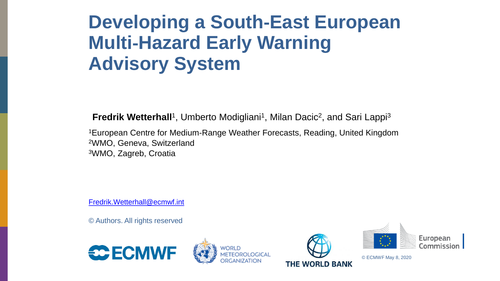# **Developing a South**‐**East European Multi**‐**Hazard Early Warning Advisory System**

**Fredrik Wetterhall**<sup>1</sup>, Umberto Modigliani<sup>1</sup>, Milan Dacic<sup>2</sup>, and Sari Lappi<sup>3</sup>

<sup>1</sup>European Centre for Medium-Range Weather Forecasts, Reading, United Kingdom <sup>2</sup>WMO, Geneva, Switzerland <sup>3</sup>WMO, Zagreb, Croatia

[Fredrik.Wetterhall@ecmwf.int](mailto:Fredrik.Wetterhall@ecmwf.int)

© Authors. All rights reserved









© ECMWF May 8, 2020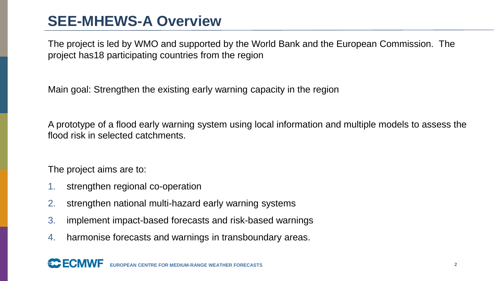# **SEE-MHEWS-A Overview**

The project is led by WMO and supported by the World Bank and the European Commission. The project has18 participating countries from the region

Main goal: Strengthen the existing early warning capacity in the region

A prototype of a flood early warning system using local information and multiple models to assess the flood risk in selected catchments.

The project aims are to:

- 1. strengthen regional co-operation
- 2. strengthen national multi-hazard early warning systems
- 3. implement impact-based forecasts and risk-based warnings
- 4. harmonise forecasts and warnings in transboundary areas.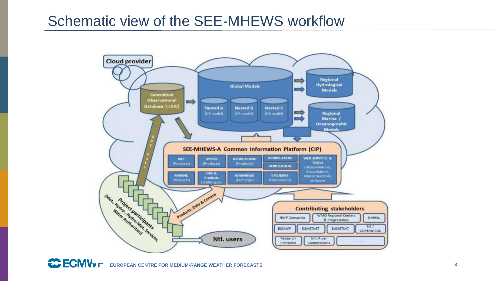### Schematic view of the SEE-MHEWS workflow



 $C$ **ECMV<sub>V</sub> EUROPEAN CENTRE FOR MEDIUM-RANGE WEATHER FORECASTS 3**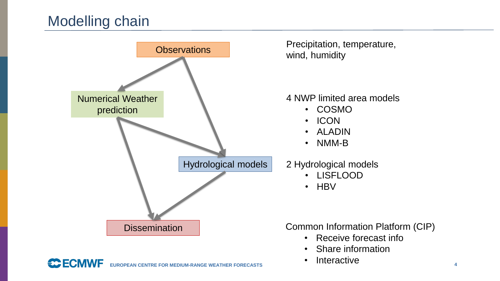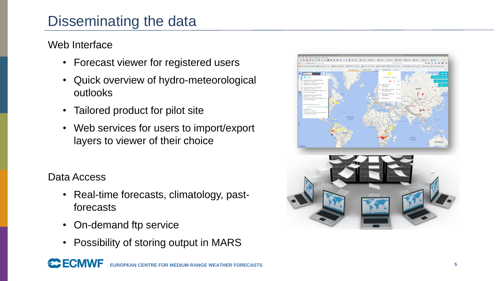# Disseminating the data

### Web Interface

- Forecast viewer for registered users
- Quick overview of hydro-meteorological outlooks
- Tailored product for pilot site
- Web services for users to import/export layers to viewer of their choice

### Data Access

**EC FCMWF** 

- Real-time forecasts, climatology, pastforecasts
- On-demand ftp service
- Possibility of storing output in MARS